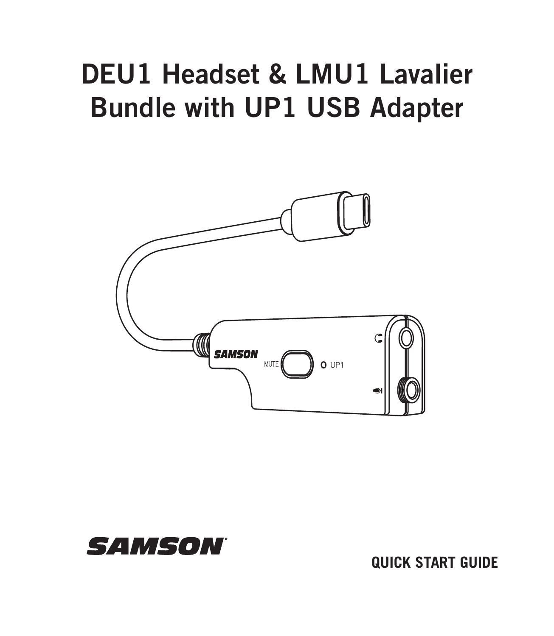# DEU1 Headset & LMU1 Lavalier Bundle with UP1 USB Adapter





**QUICK START GUIDE**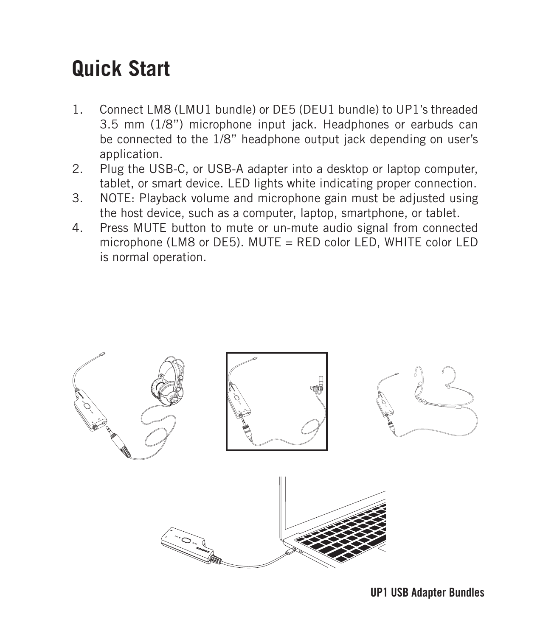## **Quick Start**

- 1. Connect LM8 (LMU1 bundle) or DE5 (DEU1 bundle) to UP1's threaded 3.5 mm (1/8") microphone input jack. Headphones or earbuds can be connected to the 1/8" headphone output jack depending on user's application.
- 2. Plug the USB-C, or USB-A adapter into a desktop or laptop computer, tablet, or smart device. LED lights white indicating proper connection.
- 3. NOTE: Playback volume and microphone gain must be adjusted using the host device, such as a computer, laptop, smartphone, or tablet.
- 4. Press MUTE button to mute or un-mute audio signal from connected microphone (LM8 or DE5). MUTE = RED color LED, WHITE color LED is normal operation.

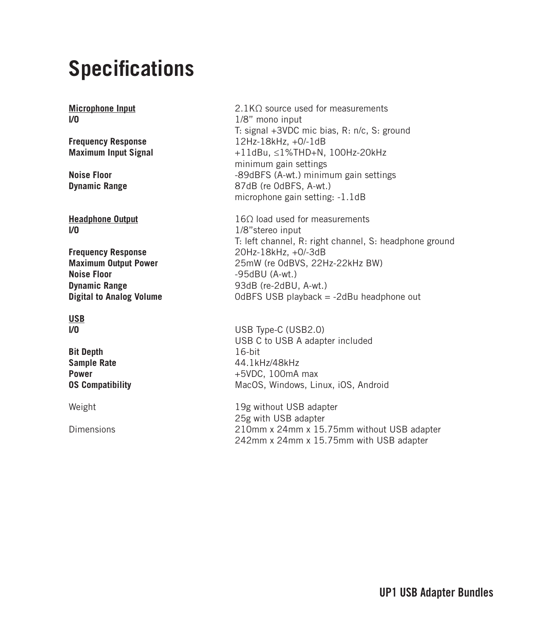## **Specifications**

**I/O** 1/8"stereo input

**Frequency Response**<br> **Maximum Output Power**<br>
25mW (re OdBVS, 22H **Noise Floor** -95dBU (A-wt.) **Dynamic Range** 93dB (re-2dBU, A-wt.)

**USB**

**Bit Depth** 16-bit

**Microphone Input** 2.1KΩ source used for measurements **I/0 1/8**" mono input T: signal +3VDC mic bias, R: n/c, S: ground **Frequency Response**<br> **Maximum Input Signal**  $+11dBu \leq 1\%THD + N$ **Maximum Input Signal** +11dBu, ≤1%THD+N, 100Hz-20kHz minimum gain settings **Noise Floor**<br> **Dynamic Range**<br> **Dynamic Range**<br> **B** 87dB (re 0dBFS, A-wt.) **Dynamic Range** 87dB (re 0dBFS, A-wt.) microphone gain setting: -1.1dB

**Headphone Output** 16Ω load used for measurements T: left channel, R: right channel, S: headphone ground **Maximum Output Power** 25mW (re 0dBVS, 22Hz-22kHz BW) OdBFS USB playback = -2dBu headphone out

**I/O** USB Type-C (USB2.0) USB C to USB A adapter included **Sample Rate** 44.1kHz/48kHz<br> **Power** +5VDC 100mA **Power** +5VDC, 100mA max **OS Compatibility** MacOS, Windows, Linux, iOS, Android

Weight **19g without USB** adapter 25g with USB adapter Dimensions 210mm x 24mm x 15.75mm without USB adapter 242mm x 24mm x 15.75mm with USB adapter